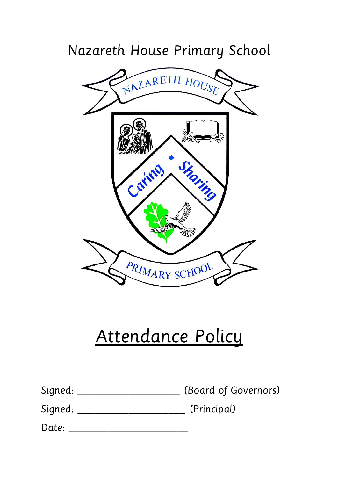## Nazareth House Primary School



# Attendance Policy

| Signed: |  | (Board of Governors) |
|---------|--|----------------------|
|         |  |                      |

Signed: \_\_\_\_\_\_\_\_\_\_\_\_\_\_\_\_\_\_\_\_\_\_\_\_\_\_\_\_(Principal)

Date: \_\_\_\_\_\_\_\_\_\_\_\_\_\_\_\_\_\_\_\_\_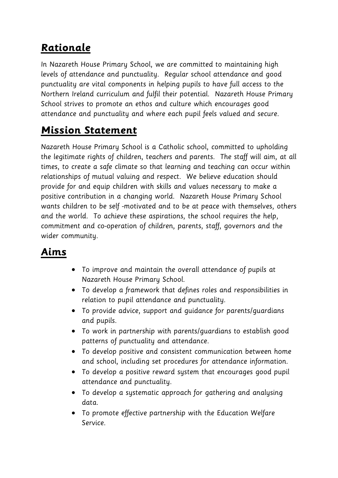## **Rationale**

In Nazareth House Primary School, we are committed to maintaining high levels of attendance and punctuality. Regular school attendance and good punctuality are vital components in helping pupils to have full access to the Northern Ireland curriculum and fulfil their potential. Nazareth House Primary School strives to promote an ethos and culture which encourages good attendance and punctuality and where each pupil feels valued and secure.

## **Mission Statement**

Nazareth House Primary School is a Catholic school, committed to upholding the legitimate rights of children, teachers and parents. The staff will aim, at all times, to create a safe climate so that learning and teaching can occur within relationships of mutual valuing and respect. We believe education should provide for and equip children with skills and values necessary to make a positive contribution in a changing world. Nazareth House Primary School wants children to be self -motivated and to be at peace with themselves, others and the world. To achieve these aspirations, the school requires the help, commitment and co-operation of children, parents, staff, governors and the wider community.

## **Aims**

- To improve and maintain the overall attendance of pupils at Nazareth House Primary School.
- To develop a framework that defines roles and responsibilities in relation to pupil attendance and punctuality.
- To provide advice, support and guidance for parents/guardians and pupils.
- To work in partnership with parents/guardians to establish good patterns of punctuality and attendance.
- To develop positive and consistent communication between home and school, including set procedures for attendance information.
- To develop a positive reward system that encourages good pupil attendance and punctuality.
- To develop a systematic approach for gathering and analysing data.
- To promote effective partnership with the Education Welfare Service.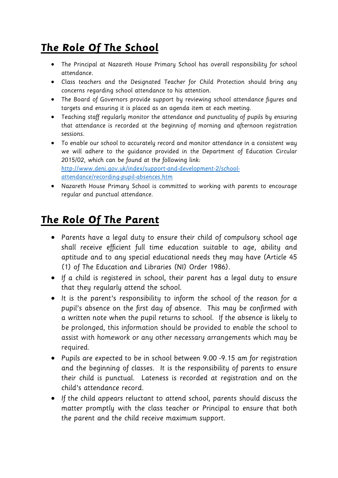## **The Role Of The School**

- The Principal at Nazareth House Primary School has overall responsibility for school attendance.
- Class teachers and the Designated Teacher for Child Protection should bring any concerns regarding school attendance to his attention.
- The Board of Governors provide support by reviewing school attendance figures and targets and ensuring it is placed as an agenda item at each meeting.
- Teaching staff regularly monitor the attendance and punctuality of pupils by ensuring that attendance is recorded at the beginning of morning and afternoon registration sessions.
- To enable our school to accurately record and monitor attendance in a consistent way we will adhere to the guidance provided in the Department of Education Circular 2015/02, which can be found at the following link: [http://www.deni.gov.uk/index/support-and-development-2/school](http://www.deni.gov.uk/index/support-and-development-2/school-attendance/recording-pupil-absences.htm)[attendance/recording-pupil-absences.htm](http://www.deni.gov.uk/index/support-and-development-2/school-attendance/recording-pupil-absences.htm)
- Nazareth House Primary School is committed to working with parents to encourage regular and punctual attendance.

### **The Role Of The Parent**

- Parents have a legal duty to ensure their child of compulsory school age shall receive efficient full time education suitable to age, ability and aptitude and to any special educational needs they may have (Article 45 (1) of The Education and Libraries (NI) Order 1986).
- If a child is registered in school, their parent has a legal duty to ensure that they regularly attend the school.
- It is the parent's responsibility to inform the school of the reason for a pupil's absence on the first day of absence. This may be confirmed with a written note when the pupil returns to school. If the absence is likely to be prolonged, this information should be provided to enable the school to assist with homework or any other necessary arrangements which may be required.
- Pupils are expected to be in school between 9.00 -9.15 am for registration and the beginning of classes. It is the responsibility of parents to ensure their child is punctual. Lateness is recorded at registration and on the child's attendance record.
- If the child appears reluctant to attend school, parents should discuss the matter promptly with the class teacher or Principal to ensure that both the parent and the child receive maximum support.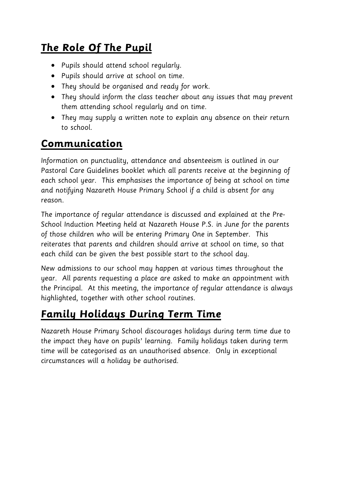## **The Role Of The Pupil**

- Pupils should attend school regularly.
- Pupils should arrive at school on time.
- They should be organised and ready for work.
- They should inform the class teacher about any issues that may prevent them attending school regularly and on time.
- They may supply a written note to explain any absence on their return to school.

## **Communication**

Information on punctuality, attendance and absenteeism is outlined in our Pastoral Care Guidelines booklet which all parents receive at the beginning of each school year. This emphasises the importance of being at school on time and notifying Nazareth House Primary School if a child is absent for any reason.

The importance of regular attendance is discussed and explained at the Pre-School Induction Meeting held at Nazareth House P.S. in June for the parents of those children who will be entering Primary One in September. This reiterates that parents and children should arrive at school on time, so that each child can be given the best possible start to the school day.

New admissions to our school may happen at various times throughout the year. All parents requesting a place are asked to make an appointment with the Principal. At this meeting, the importance of regular attendance is always highlighted, together with other school routines.

## **Family Holidays During Term Time**

Nazareth House Primary School discourages holidays during term time due to the impact they have on pupils' learning. Family holidays taken during term time will be categorised as an unauthorised absence. Only in exceptional circumstances will a holiday be authorised.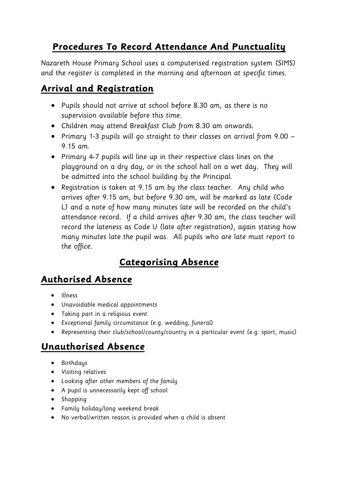#### **Procedures To Record Attendance And Punctuality**

Nazareth House Primary School uses a computerised registration system (SIMS) and the register is completed in the morning and afternoon at specific times.

#### **Arrival and Registration**

- Pupils should not arrive at school before 8.30 am, as there is no supervision available before this time.
- Children may attend Breakfast Club from 8.30 am onwards.
- Primary 1-3 pupils will go straight to their classes on arrival from 9.00 9.15 am.
- Primary 4-7 pupils will line up in their respective class lines on the playground on a dry day, or in the school hall on a wet day. They will be admitted into the school building by the Principal.
- Registration is taken at 9.15 am by the class teacher. Any child who arrives after 9.15 am, but before 9.30 am, will be marked as late (Code L) and a note of how many minutes late will be recorded on the child's attendance record. If a child arrives after 9.30 am, the class teacher will record the lateness as Code U (late after registration), again stating how many minutes late the pupil was. All pupils who are late must report to the office.

#### **Categorising Absence**

#### **Authorised Absence**

- Illness
- Unavoidable medical appointments
- Taking part in a religious event
- Exceptional family circumstance (e.g. wedding, funeral)
- Representing their club/school/county/country in a particular event (e.g. sport, music)

#### **Unauthorised Absence**

- Birthdays
- Visiting relatives
- Looking after other members of the family
- A pupil is unnecessarily kept off school
- Shopping
- Family holiday/long weekend break
- No verbal/written reason is provided when a child is absent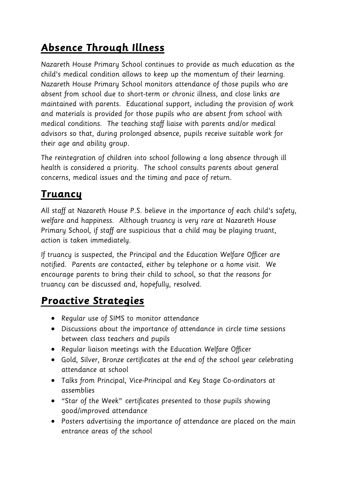## **Absence Through Illness**

Nazareth House Primary School continues to provide as much education as the child's medical condition allows to keep up the momentum of their learning. Nazareth House Primary School monitors attendance of those pupils who are absent from school due to short-term or chronic illness, and close links are maintained with parents. Educational support, including the provision of work and materials is provided for those pupils who are absent from school with medical conditions. The teaching staff liaise with parents and/or medical advisors so that, during prolonged absence, pupils receive suitable work for their age and ability group.

The reintegration of children into school following a long absence through ill health is considered a priority. The school consults parents about general concerns, medical issues and the timing and pace of return.

## **Truancy**

All staff at Nazareth House P.S. believe in the importance of each child's safety, welfare and happiness. Although truancy is very rare at Nazareth House Primary School, if staff are suspicious that a child may be playing truant, action is taken immediately.

If truancy is suspected, the Principal and the Education Welfare Officer are notified. Parents are contacted, either by telephone or a home visit. We encourage parents to bring their child to school, so that the reasons for truancy can be discussed and, hopefully, resolved.

## **Proactive Strategies**

- Regular use of SIMS to monitor attendance
- Discussions about the importance of attendance in circle time sessions between class teachers and pupils
- Regular liaison meetings with the Education Welfare Officer
- Gold, Silver, Bronze certificates at the end of the school year celebrating attendance at school
- Talks from Principal, Vice-Principal and Key Stage Co-ordinators at assemblies
- "Star of the Week" certificates presented to those pupils showing good/improved attendance
- Posters advertising the importance of attendance are placed on the main entrance areas of the school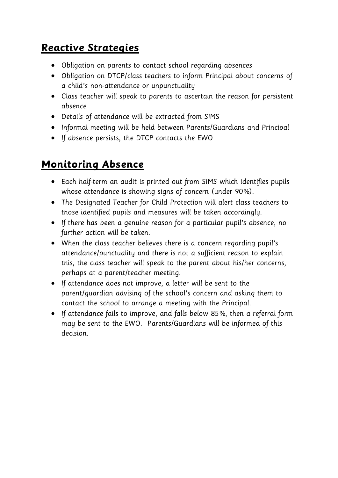#### **Reactive Strategies**

- Obligation on parents to contact school regarding absences
- Obligation on DTCP/class teachers to inform Principal about concerns of a child's non-attendance or unpunctuality
- Class teacher will speak to parents to ascertain the reason for persistent absence
- Details of attendance will be extracted from SIMS
- Informal meeting will be held between Parents/Guardians and Principal
- If absence persists, the DTCP contacts the EWO

#### **Monitoring Absence**

- Each half-term an audit is printed out from SIMS which identifies pupils whose attendance is showing signs of concern (under 90%).
- The Designated Teacher for Child Protection will alert class teachers to those identified pupils and measures will be taken accordingly.
- If there has been a genuine reason for a particular pupil's absence, no further action will be taken.
- When the class teacher believes there is a concern regarding pupil's attendance/punctuality and there is not a sufficient reason to explain this, the class teacher will speak to the parent about his/her concerns, perhaps at a parent/teacher meeting.
- If attendance does not improve, a letter will be sent to the parent/guardian advising of the school's concern and asking them to contact the school to arrange a meeting with the Principal.
- If attendance fails to improve, and falls below 85%, then a referral form may be sent to the EWO. Parents/Guardians will be informed of this decision.